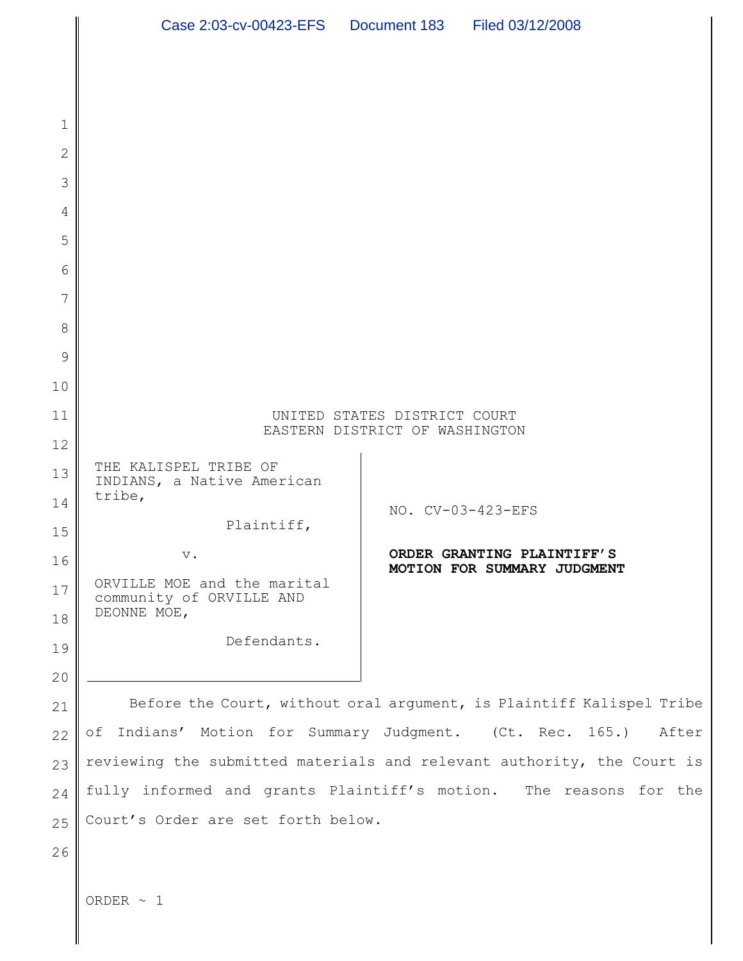|                | Case 2:03-cv-00423-EFS  Document 183   Filed 03/12/2008                |                   |                                                                      |  |
|----------------|------------------------------------------------------------------------|-------------------|----------------------------------------------------------------------|--|
|                |                                                                        |                   |                                                                      |  |
|                |                                                                        |                   |                                                                      |  |
| 1              |                                                                        |                   |                                                                      |  |
| $\overline{2}$ |                                                                        |                   |                                                                      |  |
| 3              |                                                                        |                   |                                                                      |  |
| 4              |                                                                        |                   |                                                                      |  |
| 5              |                                                                        |                   |                                                                      |  |
| 6              |                                                                        |                   |                                                                      |  |
| 7              |                                                                        |                   |                                                                      |  |
| 8              |                                                                        |                   |                                                                      |  |
| 9              |                                                                        |                   |                                                                      |  |
| 10             |                                                                        |                   |                                                                      |  |
| 11             | UNITED STATES DISTRICT COURT                                           |                   |                                                                      |  |
| 12             | EASTERN DISTRICT OF WASHINGTON                                         |                   |                                                                      |  |
| 13             | THE KALISPEL TRIBE OF<br>INDIANS, a Native American                    |                   |                                                                      |  |
| 14             | tribe,                                                                 | NO. CV-03-423-EFS |                                                                      |  |
| 15             | Plaintiff,                                                             |                   | ORDER GRANTING PLAINTIFF'S                                           |  |
| 16             | $V_{\bullet}$<br>ORVILLE MOE and the marital                           |                   | MOTION FOR SUMMARY JUDGMENT                                          |  |
| 17<br>18       | community of ORVILLE AND<br>DEONNE MOE,                                |                   |                                                                      |  |
| 19             | Defendants.                                                            |                   |                                                                      |  |
| 20             |                                                                        |                   |                                                                      |  |
| 21             |                                                                        |                   | Before the Court, without oral argument, is Plaintiff Kalispel Tribe |  |
| 22             | of Indians' Motion for Summary Judgment. (Ct. Rec. 165.)               |                   | After                                                                |  |
| 23             | reviewing the submitted materials and relevant authority, the Court is |                   |                                                                      |  |
| 24             | fully informed and grants Plaintiff's motion. The reasons for the      |                   |                                                                      |  |
| 25             | Court's Order are set forth below.                                     |                   |                                                                      |  |
| 26             |                                                                        |                   |                                                                      |  |
|                | ORDER $\sim$ 1                                                         |                   |                                                                      |  |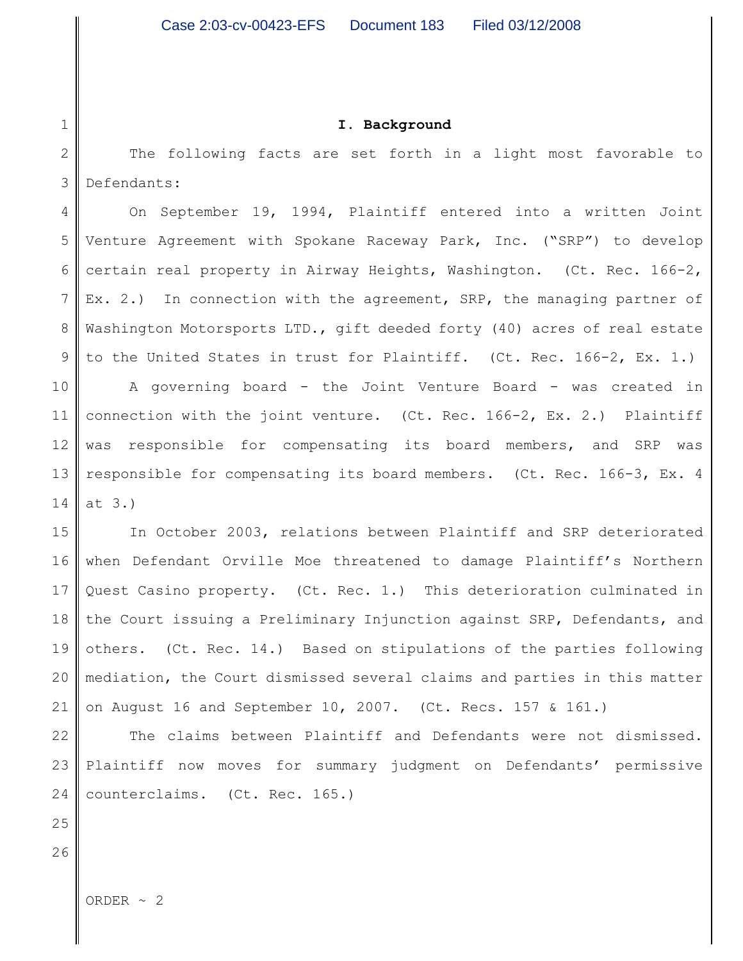#### **I. Background**

2 3 The following facts are set forth in a light most favorable to Defendants:

4 5 6 7 8 9 10 11 12 13 14 On September 19, 1994, Plaintiff entered into a written Joint Venture Agreement with Spokane Raceway Park, Inc. ("SRP") to develop certain real property in Airway Heights, Washington. (Ct. Rec. 166-2, Ex. 2.) In connection with the agreement, SRP, the managing partner of Washington Motorsports LTD., gift deeded forty (40) acres of real estate to the United States in trust for Plaintiff. (Ct. Rec. 166-2, Ex. 1.) A governing board - the Joint Venture Board - was created in connection with the joint venture. (Ct. Rec. 166-2, Ex. 2.) Plaintiff was responsible for compensating its board members, and SRP was responsible for compensating its board members. (Ct. Rec. 166-3, Ex. 4 at 3.)

15 16 17 18 19 20 21 In October 2003, relations between Plaintiff and SRP deteriorated when Defendant Orville Moe threatened to damage Plaintiff's Northern Quest Casino property. (Ct. Rec. 1.) This deterioration culminated in the Court issuing a Preliminary Injunction against SRP, Defendants, and others. (Ct. Rec. 14.) Based on stipulations of the parties following mediation, the Court dismissed several claims and parties in this matter on August 16 and September 10, 2007. (Ct. Recs. 157 & 161.)

22 23 24 The claims between Plaintiff and Defendants were not dismissed. Plaintiff now moves for summary judgment on Defendants' permissive counterclaims. (Ct. Rec. 165.)

25

1

26

ORDER  $\sim$  2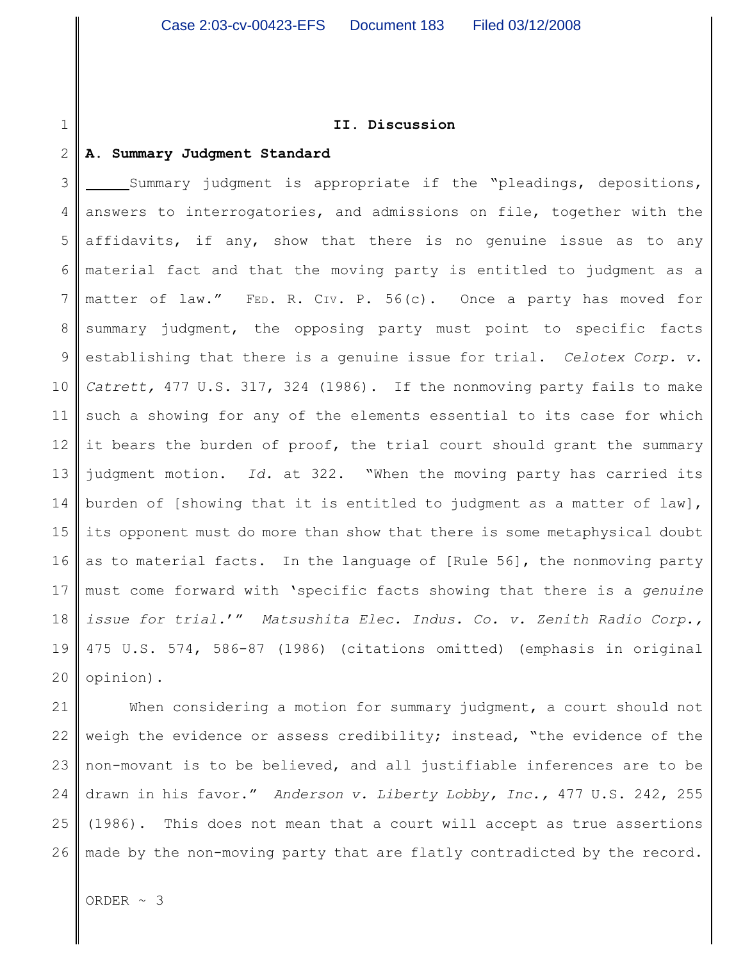#### **II. Discussion**

#### 2 **A. Summary Judgment Standard**

1

3 4 5 6 7 8 9 10 11 12 13 14 15 16 17 18 19 20 Summary judgment is appropriate if the "pleadings, depositions, answers to interrogatories, and admissions on file, together with the affidavits, if any, show that there is no genuine issue as to any material fact and that the moving party is entitled to judgment as a matter of law." FED. R. CIV. P. 56(c). Once a party has moved for summary judgment, the opposing party must point to specific facts establishing that there is a genuine issue for trial. *Celotex Corp. v. Catrett,* 477 U.S. 317, 324 (1986). If the nonmoving party fails to make such a showing for any of the elements essential to its case for which it bears the burden of proof, the trial court should grant the summary judgment motion. *Id.* at 322. "When the moving party has carried its burden of [showing that it is entitled to judgment as a matter of law], its opponent must do more than show that there is some metaphysical doubt as to material facts. In the language of [Rule 56], the nonmoving party must come forward with 'specific facts showing that there is a *genuine issue for trial.*'" *Matsushita Elec. Indus. Co. v. Zenith Radio Corp.,* 475 U.S. 574, 586-87 (1986) (citations omitted) (emphasis in original opinion).

21 22 23 24 25 26 When considering a motion for summary judgment, a court should not weigh the evidence or assess credibility; instead, "the evidence of the non-movant is to be believed, and all justifiable inferences are to be drawn in his favor." *Anderson v. Liberty Lobby, Inc.,* 477 U.S. 242, 255 (1986). This does not mean that a court will accept as true assertions made by the non-moving party that are flatly contradicted by the record.

ORDER ~ 3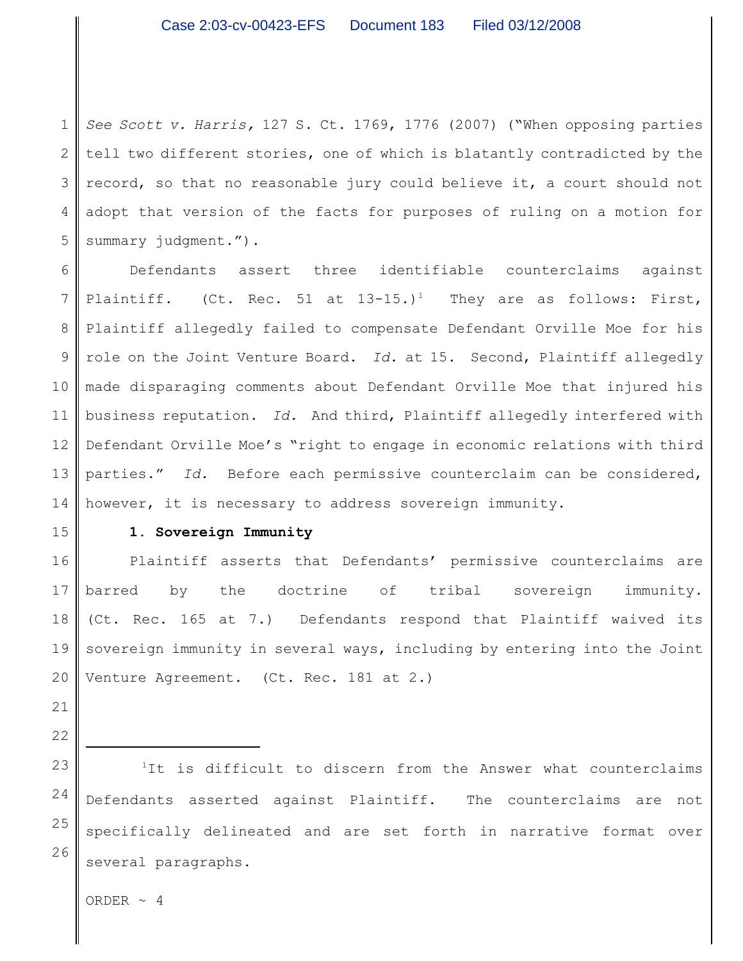1 2 3 4 5 *See Scott v. Harris,* 127 S. Ct. 1769, 1776 (2007) ("When opposing parties tell two different stories, one of which is blatantly contradicted by the record, so that no reasonable jury could believe it, a court should not adopt that version of the facts for purposes of ruling on a motion for summary judgment.").

6 7 8 9 10 11 12 13 14 Defendants assert three identifiable counterclaims against Plaintiff. (Ct. Rec. 51 at  $13-15$ .)<sup>1</sup> They are as follows: First, Plaintiff allegedly failed to compensate Defendant Orville Moe for his role on the Joint Venture Board. *Id.* at 15. Second, Plaintiff allegedly made disparaging comments about Defendant Orville Moe that injured his business reputation. *Id.* And third, Plaintiff allegedly interfered with Defendant Orville Moe's "right to engage in economic relations with third parties." *Id.* Before each permissive counterclaim can be considered, however, it is necessary to address sovereign immunity.

15

### **1. Sovereign Immunity**

16 17 18 19 20 Plaintiff asserts that Defendants' permissive counterclaims are barred by the doctrine of tribal sovereign immunity. (Ct. Rec. 165 at 7.) Defendants respond that Plaintiff waived its sovereign immunity in several ways, including by entering into the Joint Venture Agreement. (Ct. Rec. 181 at 2.)

21

22

23 24

25

26

 $1$ It is difficult to discern from the Answer what counterclaims Defendants asserted against Plaintiff. The counterclaims are not specifically delineated and are set forth in narrative format over several paragraphs.

ORDER  $\sim$  4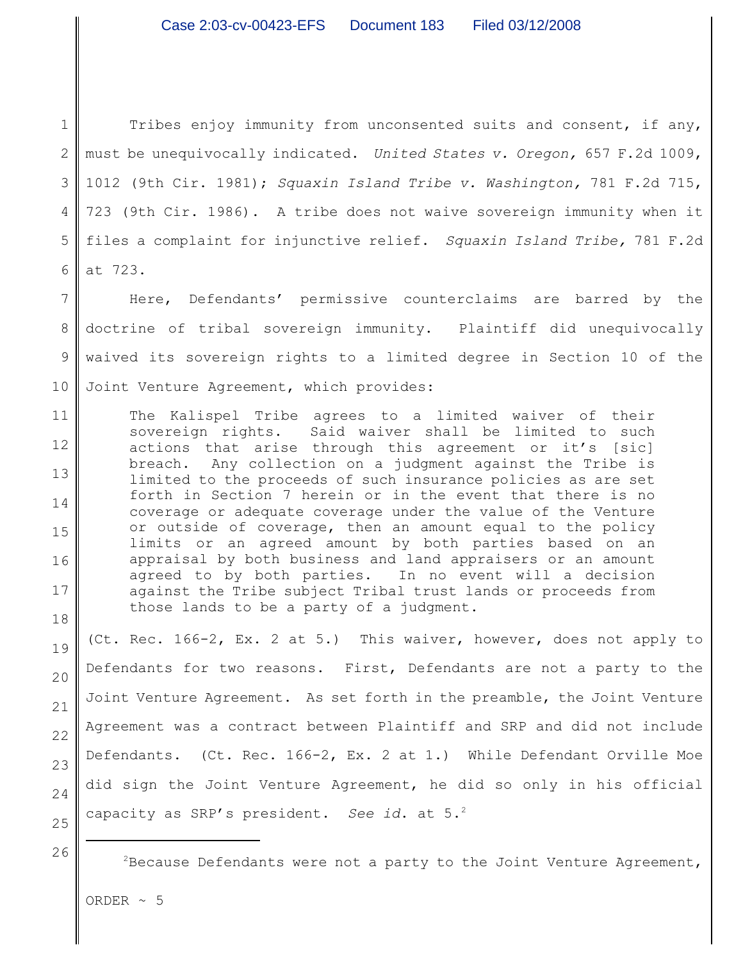1 2 3 4 5 6 Tribes enjoy immunity from unconsented suits and consent, if any, must be unequivocally indicated. *United States v. Oregon,* 657 F.2d 1009, 1012 (9th Cir. 1981); *Squaxin Island Tribe v. Washington,* 781 F.2d 715, 723 (9th Cir. 1986). A tribe does not waive sovereign immunity when it files a complaint for injunctive relief. *Squaxin Island Tribe,* 781 F.2d at 723.

7 8 9 Here, Defendants' permissive counterclaims are barred by the doctrine of tribal sovereign immunity. Plaintiff did unequivocally waived its sovereign rights to a limited degree in Section 10 of the Joint Venture Agreement, which provides:

The Kalispel Tribe agrees to a limited waiver of their sovereign rights. Said waiver shall be limited to such actions that arise through this agreement or it's [sic] breach. Any collection on a judgment against the Tribe is limited to the proceeds of such insurance policies as are set forth in Section 7 herein or in the event that there is no coverage or adequate coverage under the value of the Venture or outside of coverage, then an amount equal to the policy limits or an agreed amount by both parties based on an appraisal by both business and land appraisers or an amount agreed to by both parties. In no event will a decision against the Tribe subject Tribal trust lands or proceeds from those lands to be a party of a judgment.

(Ct. Rec. 166-2, Ex. 2 at 5.) This waiver, however, does not apply to Defendants for two reasons. First, Defendants are not a party to the Joint Venture Agreement. As set forth in the preamble, the Joint Venture Agreement was a contract between Plaintiff and SRP and did not include Defendants. (Ct. Rec. 166-2, Ex. 2 at 1.) While Defendant Orville Moe did sign the Joint Venture Agreement, he did so only in his official capacity as SRP's president. *See id*. at 5.<sup>2</sup>

 $P^2$ Because Defendants were not a party to the Joint Venture Agreement,

ORDER  $\sim$  5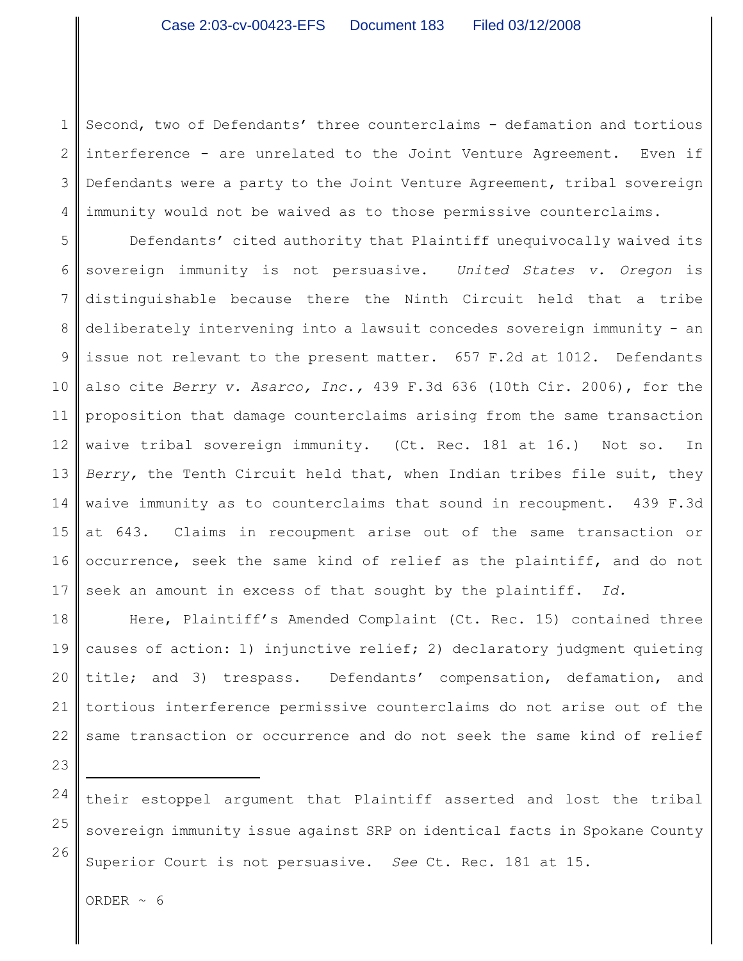1 2 3 4 Second, two of Defendants' three counterclaims - defamation and tortious interference - are unrelated to the Joint Venture Agreement. Even if Defendants were a party to the Joint Venture Agreement, tribal sovereign immunity would not be waived as to those permissive counterclaims.

5 6 7 8 9 10 11 12 13 14 15 16 17 Defendants' cited authority that Plaintiff unequivocally waived its sovereign immunity is not persuasive. *United States v. Oregon* is distinguishable because there the Ninth Circuit held that a tribe deliberately intervening into a lawsuit concedes sovereign immunity - an issue not relevant to the present matter. 657 F.2d at 1012. Defendants also cite *Berry v. Asarco, Inc.,* 439 F.3d 636 (10th Cir. 2006), for the proposition that damage counterclaims arising from the same transaction waive tribal sovereign immunity. (Ct. Rec. 181 at 16.) Not so. In *Berry,* the Tenth Circuit held that, when Indian tribes file suit, they waive immunity as to counterclaims that sound in recoupment. 439 F.3d at 643. Claims in recoupment arise out of the same transaction or occurrence, seek the same kind of relief as the plaintiff, and do not seek an amount in excess of that sought by the plaintiff. *Id.*

18 19 20 21 22 Here, Plaintiff's Amended Complaint (Ct. Rec. 15) contained three causes of action: 1) injunctive relief; 2) declaratory judgment quieting title; and 3) trespass. Defendants' compensation, defamation, and tortious interference permissive counterclaims do not arise out of the same transaction or occurrence and do not seek the same kind of relief

23

24 25 26 their estoppel argument that Plaintiff asserted and lost the tribal sovereign immunity issue against SRP on identical facts in Spokane County Superior Court is not persuasive. *See* Ct. Rec. 181 at 15.

ORDER  $\sim 6$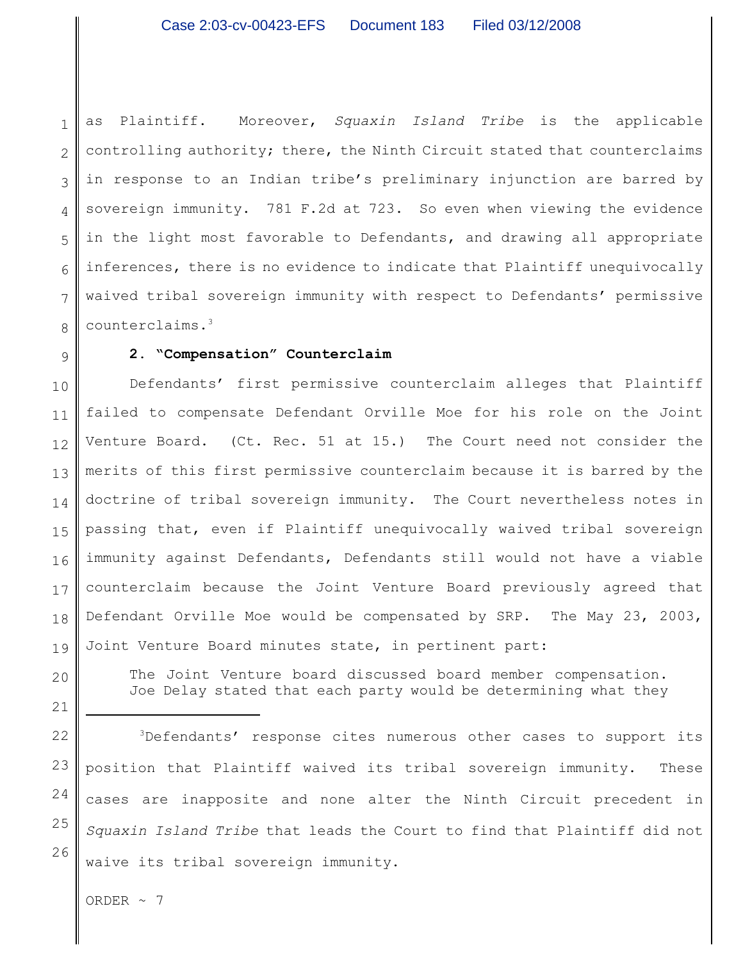1 2 3 4 5 6 7 8 as Plaintiff. Moreover, *Squaxin Island Tribe* is the applicable controlling authority; there, the Ninth Circuit stated that counterclaims in response to an Indian tribe's preliminary injunction are barred by sovereign immunity. 781 F.2d at 723. So even when viewing the evidence in the light most favorable to Defendants, and drawing all appropriate inferences, there is no evidence to indicate that Plaintiff unequivocally waived tribal sovereign immunity with respect to Defendants' permissive counterclaims.<sup>3</sup>

## **2. "Compensation" Counterclaim**

10 11 12 13 14 15 16 17 18 19 Defendants' first permissive counterclaim alleges that Plaintiff failed to compensate Defendant Orville Moe for his role on the Joint Venture Board. (Ct. Rec. 51 at 15.) The Court need not consider the merits of this first permissive counterclaim because it is barred by the doctrine of tribal sovereign immunity. The Court nevertheless notes in passing that, even if Plaintiff unequivocally waived tribal sovereign immunity against Defendants, Defendants still would not have a viable counterclaim because the Joint Venture Board previously agreed that Defendant Orville Moe would be compensated by SRP. The May 23, 2003, Joint Venture Board minutes state, in pertinent part:

> The Joint Venture board discussed board member compensation. Joe Delay stated that each party would be determining what they

 $3$ Defendants' response cites numerous other cases to support its position that Plaintiff waived its tribal sovereign immunity. These cases are inapposite and none alter the Ninth Circuit precedent in *Squaxin Island Tribe* that leads the Court to find that Plaintiff did not waive its tribal sovereign immunity.

ORDER  $\sim$  7

9

20

21

22

23

24

25

26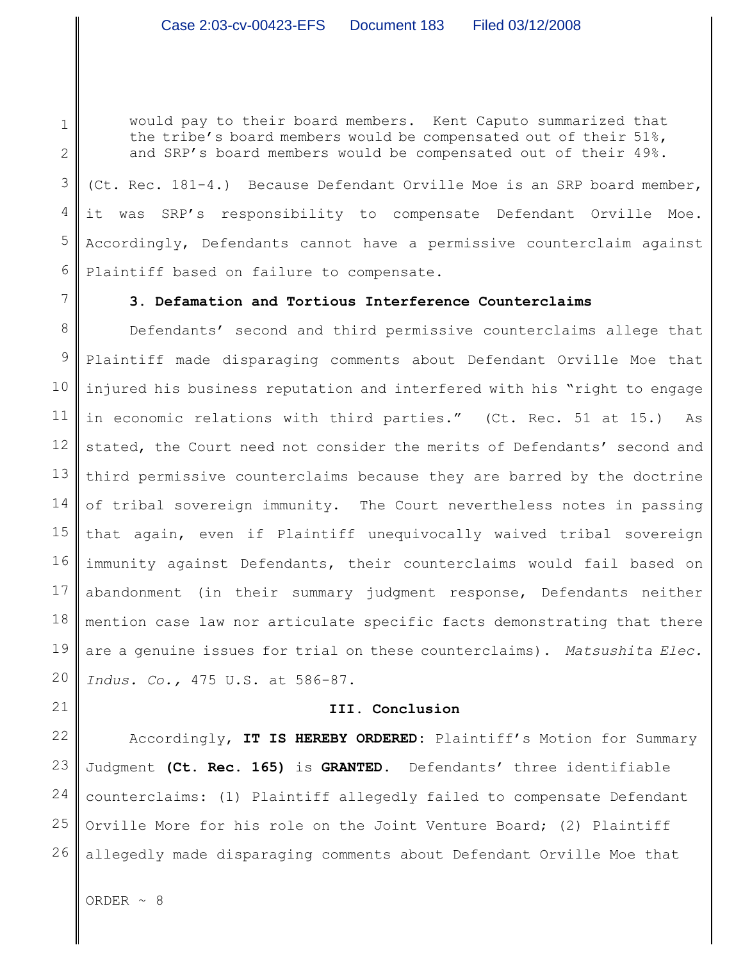would pay to their board members. Kent Caputo summarized that the tribe's board members would be compensated out of their 51%, and SRP's board members would be compensated out of their 49%.

3 4 5 6 (Ct. Rec. 181-4.) Because Defendant Orville Moe is an SRP board member, it was SRP's responsibility to compensate Defendant Orville Moe. Accordingly, Defendants cannot have a permissive counterclaim against Plaintiff based on failure to compensate.

# **3. Defamation and Tortious Interference Counterclaims**

8 9 10 11 12 13 14 15 16 17 18 19 20 Defendants' second and third permissive counterclaims allege that Plaintiff made disparaging comments about Defendant Orville Moe that injured his business reputation and interfered with his "right to engage in economic relations with third parties." (Ct. Rec. 51 at 15.) As stated, the Court need not consider the merits of Defendants' second and third permissive counterclaims because they are barred by the doctrine of tribal sovereign immunity. The Court nevertheless notes in passing that again, even if Plaintiff unequivocally waived tribal sovereign immunity against Defendants, their counterclaims would fail based on abandonment (in their summary judgment response, Defendants neither mention case law nor articulate specific facts demonstrating that there are a genuine issues for trial on these counterclaims). *Matsushita Elec. Indus. Co.,* 475 U.S. at 586-87.

## **III. Conclusion**

22 23 24 25 26 Accordingly, **IT IS HEREBY ORDERED:** Plaintiff's Motion for Summary Judgment **(Ct. Rec. 165)** is **GRANTED.** Defendants' three identifiable counterclaims: (1) Plaintiff allegedly failed to compensate Defendant Orville More for his role on the Joint Venture Board; (2) Plaintiff allegedly made disparaging comments about Defendant Orville Moe that

ORDER  $\sim$  8

1

2

7

21